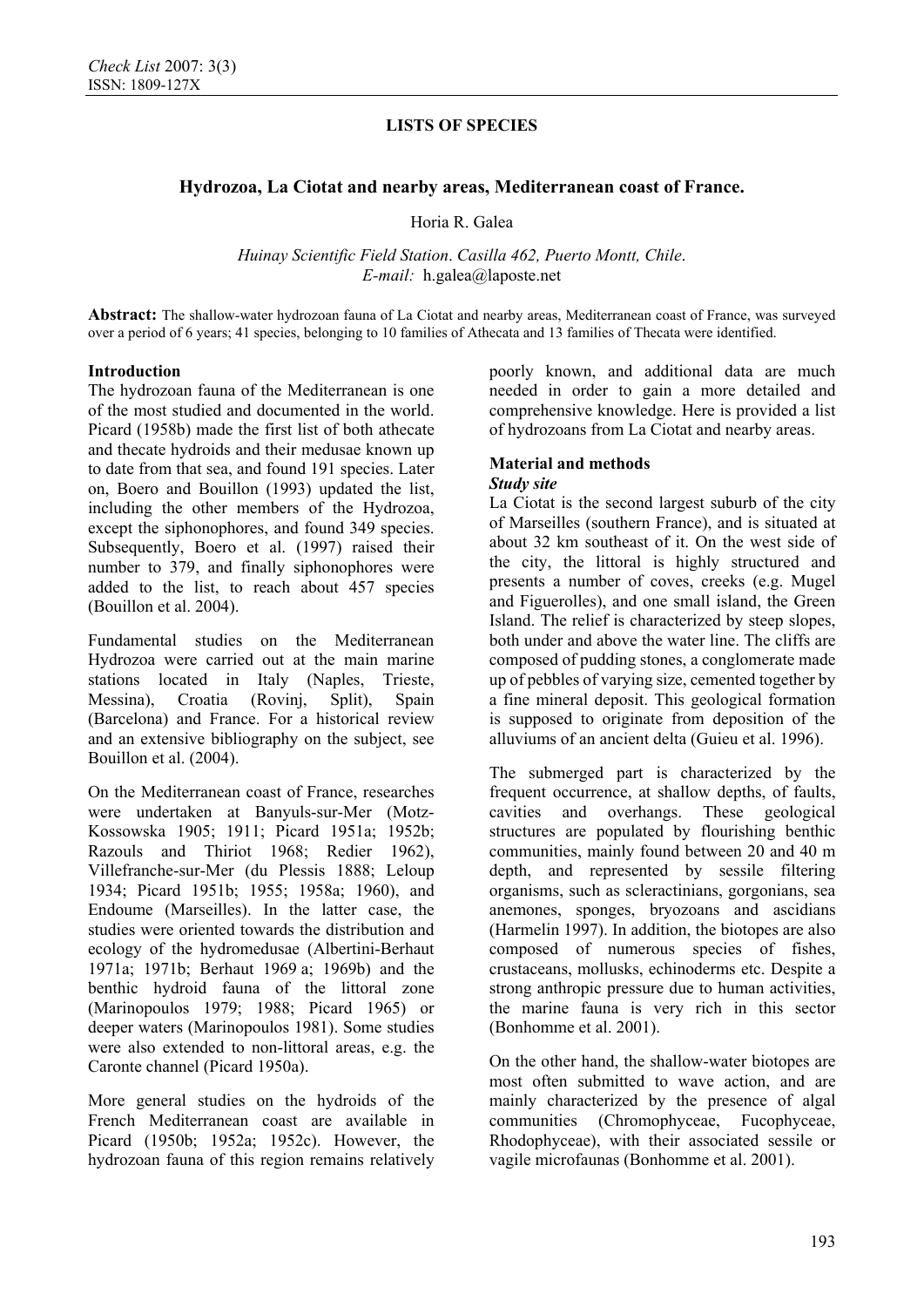## **Hydrozoa, La Ciotat and nearby areas, Mediterranean coast of France.**

Horia R. Galea

*Huinay Scientific Field Station*. *Casilla 462, Puerto Montt, Chile*. *E-mail:* h.galea@laposte.net

**Abstract:** The shallow-water hydrozoan fauna of La Ciotat and nearby areas, Mediterranean coast of France, was surveyed over a period of 6 years; 41 species, belonging to 10 families of Athecata and 13 families of Thecata were identified.

#### **Introduction**

The hydrozoan fauna of the Mediterranean is one of the most studied and documented in the world. Picard (1958b) made the first list of both athecate and thecate hydroids and their medusae known up to date from that sea, and found 191 species. Later on, Boero and Bouillon (1993) updated the list, including the other members of the Hydrozoa, except the siphonophores, and found 349 species. Subsequently, Boero et al. (1997) raised their number to 379, and finally siphonophores were added to the list, to reach about 457 species (Bouillon et al. 2004).

Fundamental studies on the Mediterranean Hydrozoa were carried out at the main marine stations located in Italy (Naples, Trieste, Messina), Croatia (Rovinj, Split), Spain (Barcelona) and France. For a historical review and an extensive bibliography on the subject, see Bouillon et al. (2004).

On the Mediterranean coast of France, researches were undertaken at Banyuls-sur-Mer (Motz-Kossowska 1905; 1911; Picard 1951a; 1952b; Razouls and Thiriot 1968; Redier 1962), Villefranche-sur-Mer (du Plessis 1888; Leloup 1934; Picard 1951b; 1955; 1958a; 1960), and Endoume (Marseilles). In the latter case, the studies were oriented towards the distribution and ecology of the hydromedusae (Albertini-Berhaut 1971a; 1971b; Berhaut 1969 a; 1969b) and the benthic hydroid fauna of the littoral zone (Marinopoulos 1979; 1988; Picard 1965) or deeper waters (Marinopoulos 1981). Some studies were also extended to non-littoral areas, e.g. the Caronte channel (Picard 1950a).

More general studies on the hydroids of the French Mediterranean coast are available in Picard (1950b; 1952a; 1952c). However, the hydrozoan fauna of this region remains relatively poorly known, and additional data are much needed in order to gain a more detailed and comprehensive knowledge. Here is provided a list of hydrozoans from La Ciotat and nearby areas.

#### **Material and methods**  *Study site*

La Ciotat is the second largest suburb of the city of Marseilles (southern France), and is situated at about 32 km southeast of it. On the west side of the city, the littoral is highly structured and presents a number of coves, creeks (e.g. Mugel and Figuerolles), and one small island, the Green Island. The relief is characterized by steep slopes, both under and above the water line. The cliffs are composed of pudding stones, a conglomerate made up of pebbles of varying size, cemented together by a fine mineral deposit. This geological formation is supposed to originate from deposition of the alluviums of an ancient delta (Guieu et al. 1996).

The submerged part is characterized by the frequent occurrence, at shallow depths, of faults, cavities and overhangs. These geological structures are populated by flourishing benthic communities, mainly found between 20 and 40 m depth, and represented by sessile filtering organisms, such as scleractinians, gorgonians, sea anemones, sponges, bryozoans and ascidians (Harmelin 1997). In addition, the biotopes are also composed of numerous species of fishes, crustaceans, mollusks, echinoderms etc. Despite a strong anthropic pressure due to human activities, the marine fauna is very rich in this sector (Bonhomme et al. 2001).

On the other hand, the shallow-water biotopes are most often submitted to wave action, and are mainly characterized by the presence of algal communities (Chromophyceae, Fucophyceae, Rhodophyceae), with their associated sessile or vagile microfaunas (Bonhomme et al. 2001).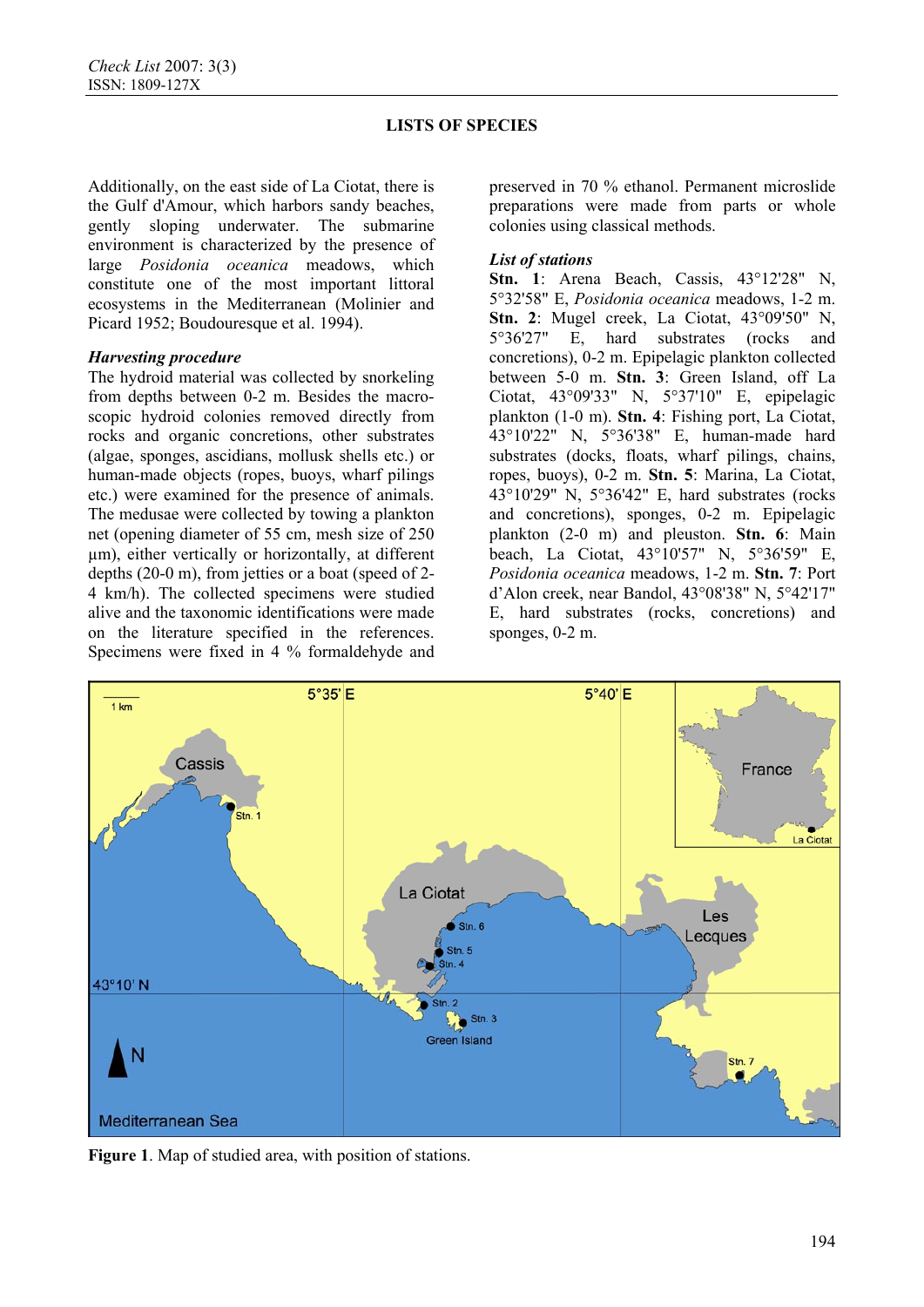Additionally, on the east side of La Ciotat, there is the Gulf d'Amour, which harbors sandy beaches, gently sloping underwater. The submarine environment is characterized by the presence of large *Posidonia oceanica* meadows, which constitute one of the most important littoral ecosystems in the Mediterranean (Molinier and Picard 1952; Boudouresque et al. 1994).

### *Harvesting procedure*

The hydroid material was collected by snorkeling from depths between 0-2 m. Besides the macroscopic hydroid colonies removed directly from rocks and organic concretions, other substrates (algae, sponges, ascidians, mollusk shells etc.) or human-made objects (ropes, buoys, wharf pilings etc.) were examined for the presence of animals. The medusae were collected by towing a plankton net (opening diameter of 55 cm, mesh size of 250 µm), either vertically or horizontally, at different depths (20-0 m), from jetties or a boat (speed of 2- 4 km/h). The collected specimens were studied alive and the taxonomic identifications were made on the literature specified in the references. Specimens were fixed in 4 % formaldehyde and

preserved in 70 % ethanol. Permanent microslide preparations were made from parts or whole colonies using classical methods.

## *List of stations*

**Stn. 1**: Arena Beach, Cassis, 43°12'28" N, 5°32'58" E, *Posidonia oceanica* meadows, 1-2 m. **Stn. 2**: Mugel creek, La Ciotat, 43°09'50" N, 5°36'27" E, hard substrates (rocks and concretions), 0-2 m. Epipelagic plankton collected between 5-0 m. **Stn. 3**: Green Island, off La Ciotat, 43°09'33" N, 5°37'10" E, epipelagic plankton (1-0 m). **Stn. 4**: Fishing port, La Ciotat, 43°10'22" N, 5°36'38" E, human-made hard substrates (docks, floats, wharf pilings, chains, ropes, buoys), 0-2 m. **Stn. 5**: Marina, La Ciotat, 43°10'29" N, 5°36'42" E, hard substrates (rocks and concretions), sponges, 0-2 m. Epipelagic plankton (2-0 m) and pleuston. **Stn. 6**: Main beach, La Ciotat, 43°10'57" N, 5°36'59" E, *Posidonia oceanica* meadows, 1-2 m. **Stn. 7**: Port d'Alon creek, near Bandol, 43°08'38" N, 5°42'17" E, hard substrates (rocks, concretions) and sponges, 0-2 m.



**Figure 1**. Map of studied area, with position of stations.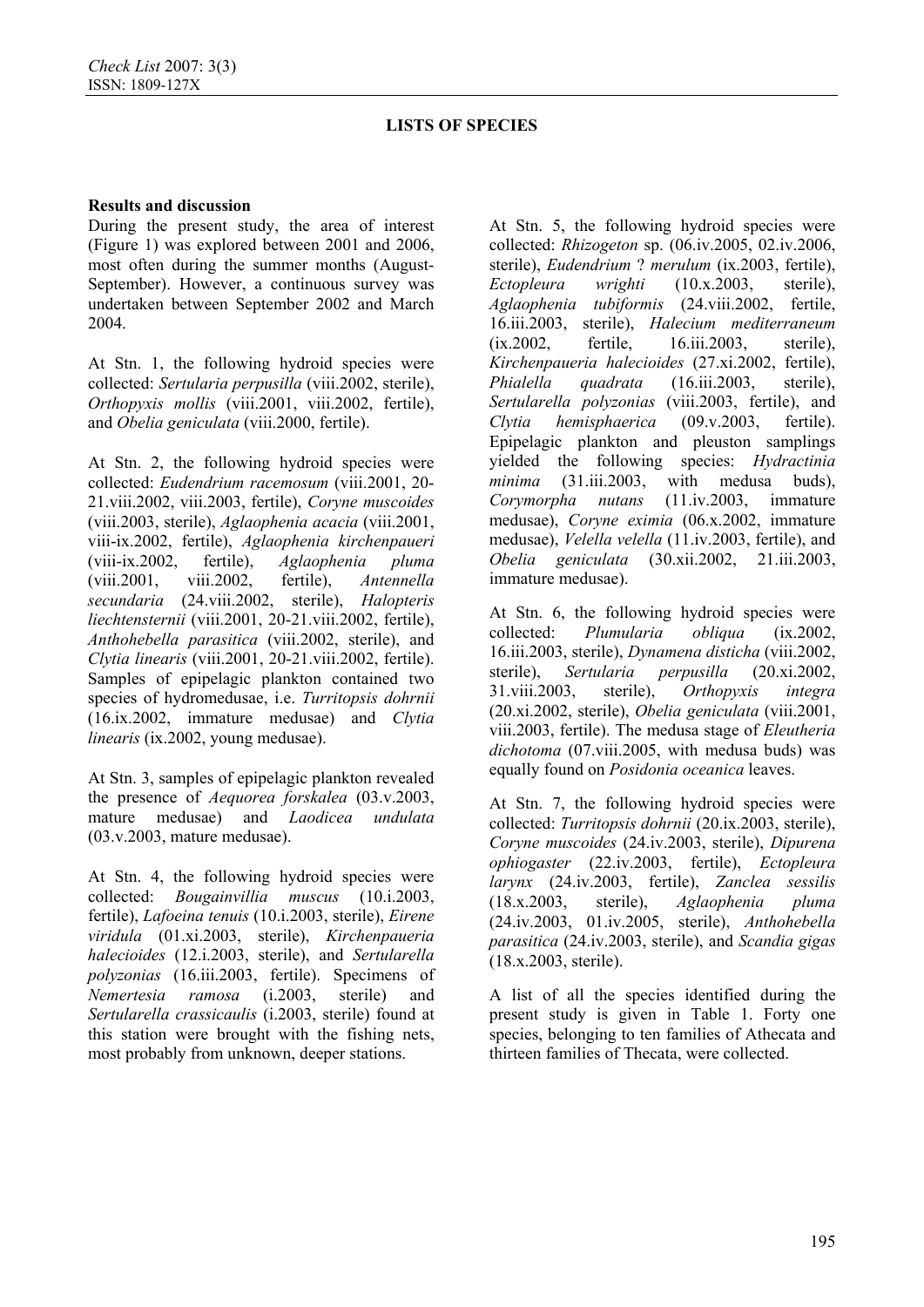### **Results and discussion**

During the present study, the area of interest (Figure 1) was explored between 2001 and 2006, most often during the summer months (August-September). However, a continuous survey was undertaken between September 2002 and March 2004.

At Stn. 1, the following hydroid species were collected: *Sertularia perpusilla* (viii.2002, sterile), *Orthopyxis mollis* (viii.2001, viii.2002, fertile), and *Obelia geniculata* (viii.2000, fertile).

At Stn. 2, the following hydroid species were collected: *Eudendrium racemosum* (viii.2001, 20- 21.viii.2002, viii.2003, fertile), *Coryne muscoides* (viii.2003, sterile), *Aglaophenia acacia* (viii.2001, viii-ix.2002, fertile), *Aglaophenia kirchenpaueri* (viii-ix.2002, fertile), *Aglaophenia pluma* (viii.2001, viii.2002, fertile), *Antennella secundaria* (24.viii.2002, sterile), *Halopteris liechtensternii* (viii.2001, 20-21.viii.2002, fertile), *Anthohebella parasitica* (viii.2002, sterile), and *Clytia linearis* (viii.2001, 20-21.viii.2002, fertile). Samples of epipelagic plankton contained two species of hydromedusae, i.e. *Turritopsis dohrnii* (16.ix.2002, immature medusae) and *Clytia linearis* (ix.2002, young medusae).

At Stn. 3, samples of epipelagic plankton revealed the presence of *Aequorea forskalea* (03.v.2003, mature medusae) and *Laodicea undulata* (03.v.2003, mature medusae).

At Stn. 4, the following hydroid species were collected: *Bougainvillia muscus* (10.i.2003, fertile), *Lafoeina tenuis* (10.i.2003, sterile), *Eirene viridula* (01.xi.2003, sterile), *Kirchenpaueria halecioides* (12.i.2003, sterile), and *Sertularella polyzonias* (16.iii.2003, fertile). Specimens of *Nemertesia ramosa* (i.2003, sterile) and *Sertularella crassicaulis* (i.2003, sterile) found at this station were brought with the fishing nets, most probably from unknown, deeper stations.

At Stn. 5, the following hydroid species were collected: *Rhizogeton* sp. (06.iv.2005, 02.iv.2006, sterile), *Eudendrium* ? *merulum* (ix.2003, fertile), *Ectopleura wrighti* (10.x.2003, sterile), *Aglaophenia tubiformis* (24.viii.2002, fertile, 16.iii.2003, sterile), *Halecium mediterraneum* (ix.2002, fertile, 16.iii.2003, sterile), *Kirchenpaueria halecioides* (27.xi.2002, fertile), *Phialella quadrata* (16.iii.2003, sterile), *Sertularella polyzonias* (viii.2003, fertile), and *Clytia hemisphaerica* (09.v.2003, fertile). Epipelagic plankton and pleuston samplings yielded the following species: *Hydractinia minima* (31.iii.2003, with medusa buds), *Corymorpha nutans* (11.iv.2003, immature medusae), *Coryne eximia* (06.x.2002, immature medusae), *Velella velella* (11.iv.2003, fertile), and *Obelia geniculata* (30.xii.2002, 21.iii.2003, immature medusae).

At Stn. 6, the following hydroid species were collected: *Plumularia obliqua* (ix.2002, 16.iii.2003, sterile), *Dynamena disticha* (viii.2002, sterile), *Sertularia perpusilla* (20.xi.2002, 31.viii.2003, sterile), *Orthopyxis integra* (20.xi.2002, sterile), *Obelia geniculata* (viii.2001, viii.2003, fertile). The medusa stage of *Eleutheria dichotoma* (07.viii.2005, with medusa buds) was equally found on *Posidonia oceanica* leaves.

At Stn. 7, the following hydroid species were collected: *Turritopsis dohrnii* (20.ix.2003, sterile), *Coryne muscoides* (24.iv.2003, sterile), *Dipurena ophiogaster* (22.iv.2003, fertile), *Ectopleura larynx* (24.iv.2003, fertile), *Zanclea sessilis* (18.x.2003, sterile), *Aglaophenia pluma* (24.iv.2003, 01.iv.2005, sterile), *Anthohebella parasitica* (24.iv.2003, sterile), and *Scandia gigas* (18.x.2003, sterile).

A list of all the species identified during the present study is given in Table 1. Forty one species, belonging to ten families of Athecata and thirteen families of Thecata, were collected.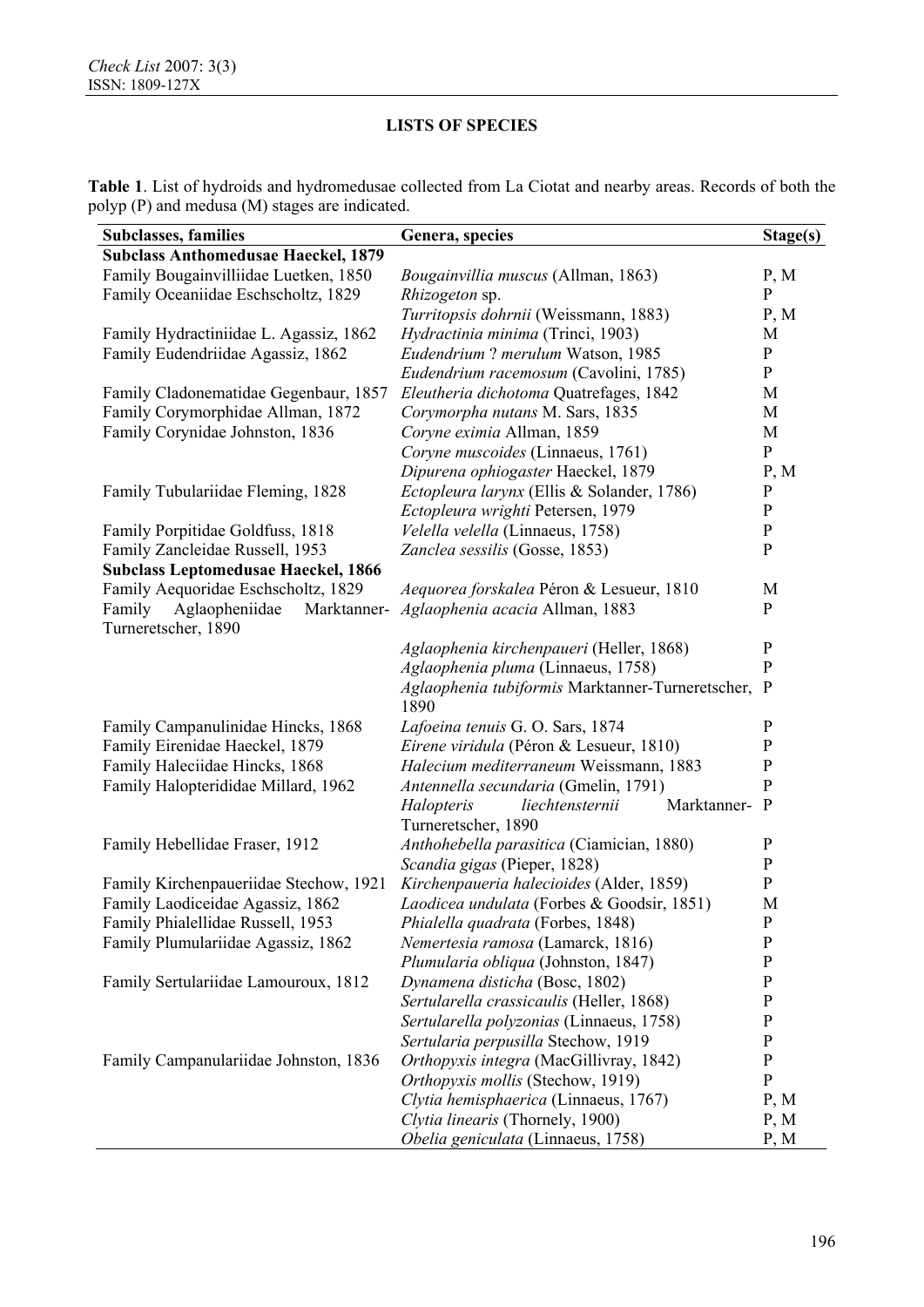|  | <b>Table 1.</b> List of hydroids and hydromedusae collected from La Ciotat and nearby areas. Records of both the |  |  |  |  |
|--|------------------------------------------------------------------------------------------------------------------|--|--|--|--|
|  | polyp (P) and medusa (M) stages are indicated.                                                                   |  |  |  |  |

| <b>Subclasses, families</b>                | Genera, species                                    | Stage(s)     |  |  |  |  |  |  |  |
|--------------------------------------------|----------------------------------------------------|--------------|--|--|--|--|--|--|--|
| <b>Subclass Anthomedusae Haeckel, 1879</b> |                                                    |              |  |  |  |  |  |  |  |
| Family Bougainvilliidae Luetken, 1850      | <i>Bougainvillia muscus</i> (Allman, 1863)         | P, M         |  |  |  |  |  |  |  |
| Family Oceaniidae Eschscholtz, 1829        | <i>Rhizogeton</i> sp.                              | P            |  |  |  |  |  |  |  |
|                                            | Turritopsis dohrnii (Weissmann, 1883)              | P, M         |  |  |  |  |  |  |  |
| Family Hydractiniidae L. Agassiz, 1862     | Hydractinia minima (Trinci, 1903)                  | M            |  |  |  |  |  |  |  |
| Family Eudendriidae Agassiz, 1862          | Eudendrium ? merulum Watson, 1985                  | $\mathbf{P}$ |  |  |  |  |  |  |  |
|                                            | Eudendrium racemosum (Cavolini, 1785)              | ${\bf P}$    |  |  |  |  |  |  |  |
| Family Cladonematidae Gegenbaur, 1857      | Eleutheria dichotoma Quatrefages, 1842             | M            |  |  |  |  |  |  |  |
| Family Corymorphidae Allman, 1872          | Corymorpha nutans M. Sars, 1835                    | M            |  |  |  |  |  |  |  |
| Family Corynidae Johnston, 1836            | Coryne eximia Allman, 1859                         | M            |  |  |  |  |  |  |  |
|                                            | Coryne muscoides (Linnaeus, 1761)                  | ${\bf P}$    |  |  |  |  |  |  |  |
|                                            | Dipurena ophiogaster Haeckel, 1879                 | P, M         |  |  |  |  |  |  |  |
| Family Tubulariidae Fleming, 1828          | Ectopleura larynx (Ellis & Solander, 1786)         | $\mathbf{P}$ |  |  |  |  |  |  |  |
|                                            | Ectopleura wrighti Petersen, 1979                  | $\mathbf{P}$ |  |  |  |  |  |  |  |
| Family Porpitidae Goldfuss, 1818           | Velella velella (Linnaeus, 1758)                   | $\mathbf P$  |  |  |  |  |  |  |  |
| Family Zancleidae Russell, 1953            | Zanclea sessilis (Gosse, 1853)                     | $\mathbf{P}$ |  |  |  |  |  |  |  |
| <b>Subclass Leptomedusae Haeckel, 1866</b> |                                                    |              |  |  |  |  |  |  |  |
| Family Aequoridae Eschscholtz, 1829        | Aequorea forskalea Péron & Lesueur, 1810           | M            |  |  |  |  |  |  |  |
| Family<br>Aglaopheniidae<br>Marktanner-    | Aglaophenia acacia Allman, 1883                    | P            |  |  |  |  |  |  |  |
| Turneretscher, 1890                        |                                                    |              |  |  |  |  |  |  |  |
|                                            | Aglaophenia kirchenpaueri (Heller, 1868)           | $\mathbf{P}$ |  |  |  |  |  |  |  |
|                                            | Aglaophenia pluma (Linnaeus, 1758)                 | $\mathbf{P}$ |  |  |  |  |  |  |  |
|                                            | Aglaophenia tubiformis Marktanner-Turneretscher, P |              |  |  |  |  |  |  |  |
|                                            | 1890                                               |              |  |  |  |  |  |  |  |
| Family Campanulinidae Hincks, 1868         | Lafoeina tenuis G. O. Sars, 1874                   | $\mathbf{P}$ |  |  |  |  |  |  |  |
| Family Eirenidae Haeckel, 1879             | Eirene viridula (Péron & Lesueur, 1810)            | $\mathbf{P}$ |  |  |  |  |  |  |  |
| Family Haleciidae Hincks, 1868             | Halecium mediterraneum Weissmann, 1883             | $\mathbf{P}$ |  |  |  |  |  |  |  |
| Family Halopterididae Millard, 1962        | Antennella secundaria (Gmelin, 1791)               | $\mathbf{P}$ |  |  |  |  |  |  |  |
|                                            | Marktanner- P<br>Halopteris<br>liechtensternii     |              |  |  |  |  |  |  |  |
|                                            | Turneretscher, 1890                                |              |  |  |  |  |  |  |  |
| Family Hebellidae Fraser, 1912             | Anthohebella parasitica (Ciamician, 1880)          | P            |  |  |  |  |  |  |  |
|                                            | Scandia gigas (Pieper, 1828)                       | $\mathbf{P}$ |  |  |  |  |  |  |  |
| Family Kirchenpaueriidae Stechow, 1921     | Kirchenpaueria halecioides (Alder, 1859)           | P            |  |  |  |  |  |  |  |
| Family Laodiceidae Agassiz, 1862           | Laodicea undulata (Forbes & Goodsir, 1851)         | M            |  |  |  |  |  |  |  |
| Family Phialellidae Russell, 1953          | Phialella quadrata (Forbes, 1848)                  | ${\bf P}$    |  |  |  |  |  |  |  |
| Family Plumulariidae Agassiz, 1862         | Nemertesia ramosa (Lamarck, 1816)                  | $\mathbf P$  |  |  |  |  |  |  |  |
|                                            | Plumularia obliqua (Johnston, 1847)                | ${\bf P}$    |  |  |  |  |  |  |  |
| Family Sertulariidae Lamouroux, 1812       | Dynamena disticha (Bosc, 1802)                     | $\mathbf P$  |  |  |  |  |  |  |  |
|                                            | Sertularella crassicaulis (Heller, 1868)           | $\mathbf P$  |  |  |  |  |  |  |  |
|                                            | Sertularella polyzonias (Linnaeus, 1758)           | P            |  |  |  |  |  |  |  |
|                                            | Sertularia perpusilla Stechow, 1919                | P            |  |  |  |  |  |  |  |
| Family Campanulariidae Johnston, 1836      | Orthopyxis integra (MacGillivray, 1842)            | $\mathbf P$  |  |  |  |  |  |  |  |
|                                            | Orthopyxis mollis (Stechow, 1919)                  | $\mathbf{P}$ |  |  |  |  |  |  |  |
|                                            | Clytia hemisphaerica (Linnaeus, 1767)              | P, M         |  |  |  |  |  |  |  |
|                                            | Clytia linearis (Thornely, 1900)                   | P, M         |  |  |  |  |  |  |  |
|                                            | Obelia geniculata (Linnaeus, 1758)                 | P, M         |  |  |  |  |  |  |  |
|                                            |                                                    |              |  |  |  |  |  |  |  |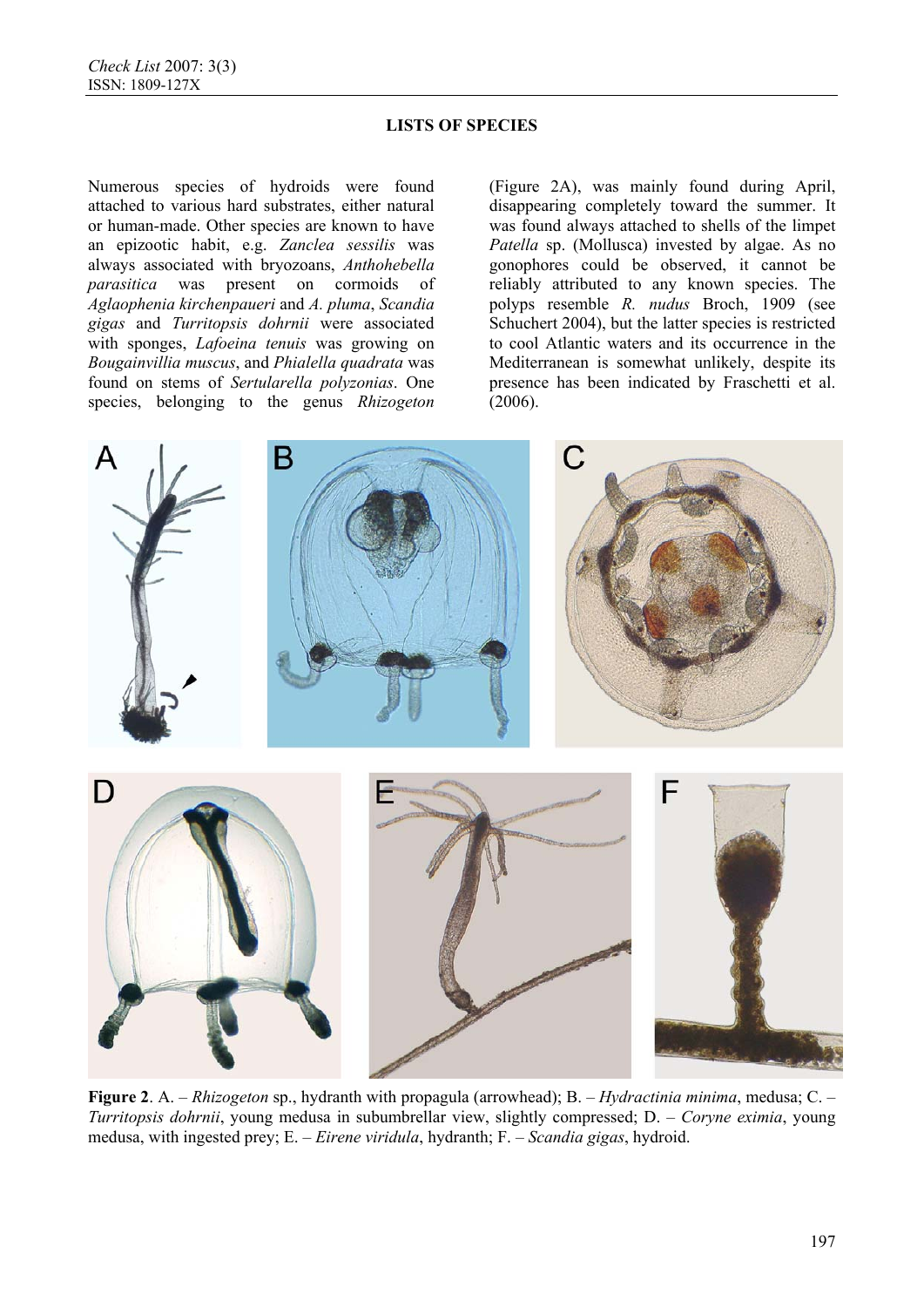Numerous species of hydroids were found attached to various hard substrates, either natural or human-made. Other species are known to have an epizootic habit, e.g. *Zanclea sessilis* was always associated with bryozoans, *Anthohebella parasitica* was present on cormoids of *Aglaophenia kirchenpaueri* and *A. pluma*, *Scandia gigas* and *Turritopsis dohrnii* were associated with sponges, *Lafoeina tenuis* was growing on *Bougainvillia muscus*, and *Phialella quadrata* was found on stems of *Sertularella polyzonias*. One species, belonging to the genus *Rhizogeton*

(Figure 2A), was mainly found during April, disappearing completely toward the summer. It was found always attached to shells of the limpet *Patella* sp. (Mollusca) invested by algae. As no gonophores could be observed, it cannot be reliably attributed to any known species. The polyps resemble *R. nudus* Broch, 1909 (see Schuchert 2004), but the latter species is restricted to cool Atlantic waters and its occurrence in the Mediterranean is somewhat unlikely, despite its presence has been indicated by Fraschetti et al. (2006).



**Figure 2**. A. – *Rhizogeton* sp., hydranth with propagula (arrowhead); B. – *Hydractinia minima*, medusa; C. – *Turritopsis dohrnii*, young medusa in subumbrellar view, slightly compressed; D. – *Coryne eximia*, young medusa, with ingested prey; E. – *Eirene viridula*, hydranth; F. – *Scandia gigas*, hydroid.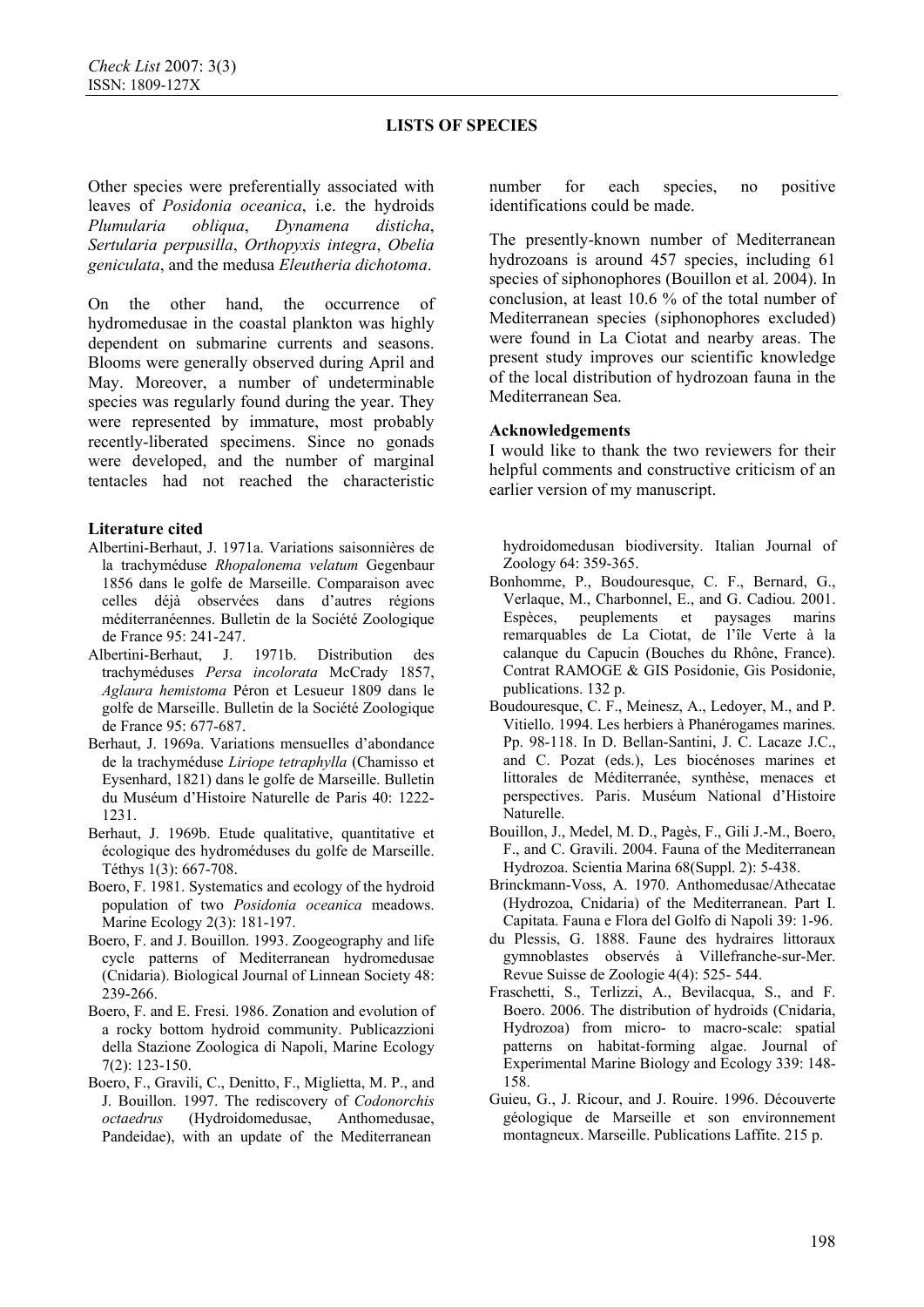Other species were preferentially associated with leaves of *Posidonia oceanica*, i.e. the hydroids *Plumularia obliqua*, *Dynamena disticha*, *Sertularia perpusilla*, *Orthopyxis integra*, *Obelia geniculata*, and the medusa *Eleutheria dichotoma*.

On the other hand, the occurrence of hydromedusae in the coastal plankton was highly dependent on submarine currents and seasons. Blooms were generally observed during April and May. Moreover, a number of undeterminable species was regularly found during the year. They were represented by immature, most probably recently-liberated specimens. Since no gonads were developed, and the number of marginal tentacles had not reached the characteristic

### **Literature cited**

- Albertini-Berhaut, J. 1971a. Variations saisonnières de la trachyméduse *Rhopalonema velatum* Gegenbaur 1856 dans le golfe de Marseille. Comparaison avec celles déjà observées dans d'autres régions méditerranéennes. Bulletin de la Société Zoologique de France 95: 241-247.
- Albertini-Berhaut, J. 1971b. Distribution des trachyméduses *Persa incolorata* McCrady 1857, *Aglaura hemistoma* Péron et Lesueur 1809 dans le golfe de Marseille. Bulletin de la Société Zoologique de France 95: 677-687.
- Berhaut, J. 1969a. Variations mensuelles d'abondance de la trachyméduse *Liriope tetraphylla* (Chamisso et Eysenhard, 1821) dans le golfe de Marseille. Bulletin du Muséum d'Histoire Naturelle de Paris 40: 1222- 1231.
- Berhaut, J. 1969b. Etude qualitative, quantitative et écologique des hydroméduses du golfe de Marseille. Téthys 1(3): 667-708.
- Boero, F. 1981. Systematics and ecology of the hydroid population of two *Posidonia oceanica* meadows. Marine Ecology 2(3): 181-197.
- Boero, F. and J. Bouillon. 1993. Zoogeography and life cycle patterns of Mediterranean hydromedusae (Cnidaria). Biological Journal of Linnean Society 48: 239-266.
- Boero, F. and E. Fresi. 1986. Zonation and evolution of a rocky bottom hydroid community. Publicazzioni della Stazione Zoologica di Napoli, Marine Ecology 7(2): 123-150.
- Boero, F., Gravili, C., Denitto, F., Miglietta, M. P., and J. Bouillon. 1997. The rediscovery of *Codonorchis octaedrus* (Hydroidomedusae, Anthomedusae, Pandeidae), with an update of the Mediterranean

number for each species, no positive identifications could be made.

The presently-known number of Mediterranean hydrozoans is around 457 species, including 61 species of siphonophores (Bouillon et al. 2004). In conclusion, at least 10.6 % of the total number of Mediterranean species (siphonophores excluded) were found in La Ciotat and nearby areas. The present study improves our scientific knowledge of the local distribution of hydrozoan fauna in the Mediterranean Sea.

#### **Acknowledgements**

I would like to thank the two reviewers for their helpful comments and constructive criticism of an earlier version of my manuscript.

hydroidomedusan biodiversity. Italian Journal of Zoology 64: 359-365.

- Bonhomme, P., Boudouresque, C. F., Bernard, G., Verlaque, M., Charbonnel, E., and G. Cadiou. 2001. Espèces, peuplements et paysages marins remarquables de La Ciotat, de l'île Verte à la calanque du Capucin (Bouches du Rhône, France). Contrat RAMOGE & GIS Posidonie, Gis Posidonie, publications. 132 p.
- Boudouresque, C. F., Meinesz, A., Ledoyer, M., and P. Vitiello. 1994. Les herbiers à Phanérogames marines. Pp. 98-118. In D. Bellan-Santini, J. C. Lacaze J.C., and C. Pozat (eds.), Les biocénoses marines et littorales de Méditerranée, synthèse, menaces et perspectives. Paris. Muséum National d'Histoire Naturelle.
- Bouillon, J., Medel, M. D., Pagès, F., Gili J.-M., Boero, F., and C. Gravili. 2004. Fauna of the Mediterranean Hydrozoa. Scientia Marina 68(Suppl. 2): 5-438.
- Brinckmann-Voss, A. 1970. Anthomedusae/Athecatae (Hydrozoa, Cnidaria) of the Mediterranean. Part I. Capitata. Fauna e Flora del Golfo di Napoli 39: 1-96.
- du Plessis, G. 1888. Faune des hydraires littoraux gymnoblastes observés à Villefranche-sur-Mer. Revue Suisse de Zoologie 4(4): 525- 544.
- Fraschetti, S., Terlizzi, A., Bevilacqua, S., and F. Boero. 2006. The distribution of hydroids (Cnidaria, Hydrozoa) from micro- to macro-scale: spatial patterns on habitat-forming algae. Journal of Experimental Marine Biology and Ecology 339: 148- 158.
- Guieu, G., J. Ricour, and J. Rouire. 1996. Découverte géologique de Marseille et son environnement montagneux. Marseille. Publications Laffite. 215 p.